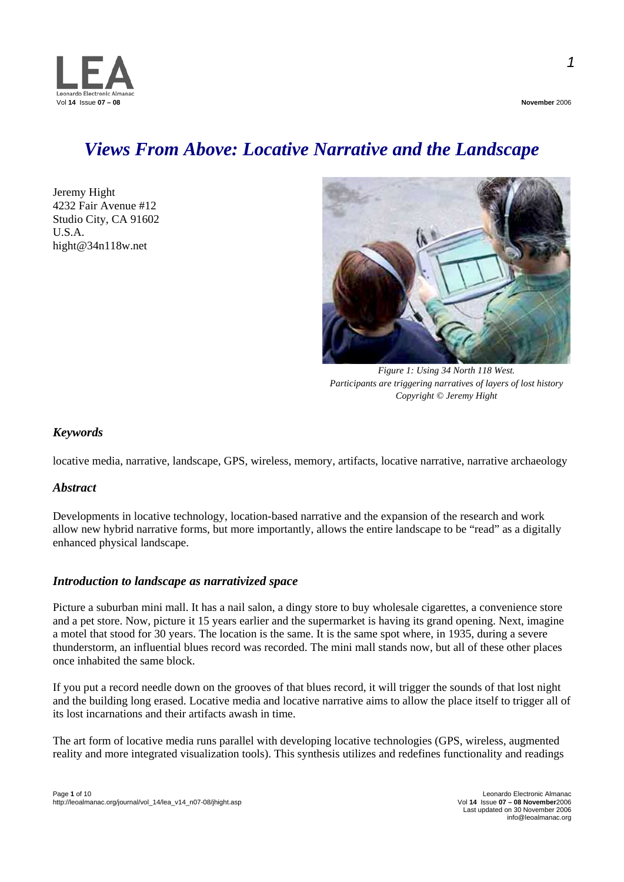

*Views From Above: Locative Narrative and the Landscape* 

Jeremy Hight 4232 Fair Avenue #12 Studio City, CA 91602 U.S.A. [hight@34n118w.net](mailto:hight@34n118w.net)



*Figure 1: Using 34 North 118 West. Participants are triggering narratives of layers of lost history Copyright © Jeremy Hight* 

# *Keywords*

locative media, narrative, landscape, GPS, wireless, memory, artifacts, locative narrative, narrative archaeology

# *Abstract*

Developments in locative technology, location-based narrative and the expansion of the research and work allow new hybrid narrative forms, but more importantly, allows the entire landscape to be "read" as a digitally enhanced physical landscape.

# *Introduction to landscape as narrativized space*

Picture a suburban mini mall. It has a nail salon, a dingy store to buy wholesale cigarettes, a convenience store and a pet store. Now, picture it 15 years earlier and the supermarket is having its grand opening. Next, imagine a motel that stood for 30 years. The location is the same. It is the same spot where, in 1935, during a severe thunderstorm, an influential blues record was recorded. The mini mall stands now, but all of these other places once inhabited the same block.

If you put a record needle down on the grooves of that blues record, it will trigger the sounds of that lost night and the building long erased. Locative media and locative narrative aims to allow the place itself to trigger all of its lost incarnations and their artifacts awash in time.

The art form of locative media runs parallel with developing locative technologies (GPS, wireless, augmented reality and more integrated visualization tools). This synthesis utilizes and redefines functionality and readings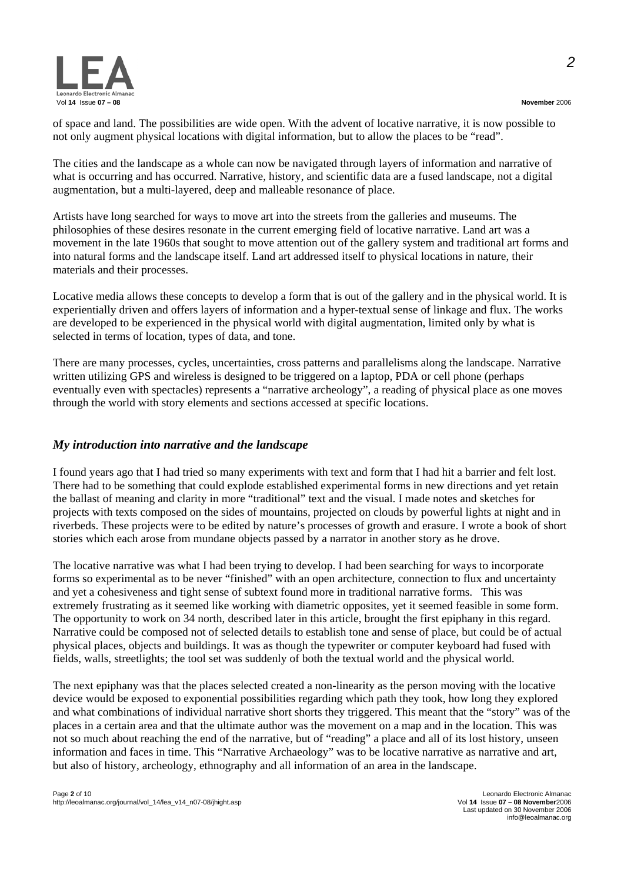

of space and land. The possibilities are wide open. With the advent of locative narrative, it is now possible to not only augment physical locations with digital information, but to allow the places to be "read".

The cities and the landscape as a whole can now be navigated through layers of information and narrative of what is occurring and has occurred. Narrative, history, and scientific data are a fused landscape, not a digital augmentation, but a multi-layered, deep and malleable resonance of place.

Artists have long searched for ways to move art into the streets from the galleries and museums. The philosophies of these desires resonate in the current emerging field of locative narrative. Land art was a movement in the late 1960s that sought to move attention out of the gallery system and traditional art forms and into natural forms and the landscape itself. Land art addressed itself to physical locations in nature, their materials and their processes.

Locative media allows these concepts to develop a form that is out of the gallery and in the physical world. It is experientially driven and offers layers of information and a hyper-textual sense of linkage and flux. The works are developed to be experienced in the physical world with digital augmentation, limited only by what is selected in terms of location, types of data, and tone.

There are many processes, cycles, uncertainties, cross patterns and parallelisms along the landscape. Narrative written utilizing GPS and wireless is designed to be triggered on a laptop, PDA or cell phone (perhaps eventually even with spectacles) represents a "narrative archeology", a reading of physical place as one moves through the world with story elements and sections accessed at specific locations.

# *My introduction into narrative and the landscape*

I found years ago that I had tried so many experiments with text and form that I had hit a barrier and felt lost. There had to be something that could explode established experimental forms in new directions and yet retain the ballast of meaning and clarity in more "traditional" text and the visual. I made notes and sketches for projects with texts composed on the sides of mountains, projected on clouds by powerful lights at night and in riverbeds. These projects were to be edited by nature's processes of growth and erasure. I wrote a book of short stories which each arose from mundane objects passed by a narrator in another story as he drove.

The locative narrative was what I had been trying to develop. I had been searching for ways to incorporate forms so experimental as to be never "finished" with an open architecture, connection to flux and uncertainty and yet a cohesiveness and tight sense of subtext found more in traditional narrative forms. This was extremely frustrating as it seemed like working with diametric opposites, yet it seemed feasible in some form. The opportunity to work on 34 north, described later in this article, brought the first epiphany in this regard. Narrative could be composed not of selected details to establish tone and sense of place, but could be of actual physical places, objects and buildings. It was as though the typewriter or computer keyboard had fused with fields, walls, streetlights; the tool set was suddenly of both the textual world and the physical world.

The next epiphany was that the places selected created a non-linearity as the person moving with the locative device would be exposed to exponential possibilities regarding which path they took, how long they explored and what combinations of individual narrative short shorts they triggered. This meant that the "story" was of the places in a certain area and that the ultimate author was the movement on a map and in the location. This was not so much about reaching the end of the narrative, but of "reading" a place and all of its lost history, unseen information and faces in time. This "Narrative Archaeology" was to be locative narrative as narrative and art, but also of history, archeology, ethnography and all information of an area in the landscape.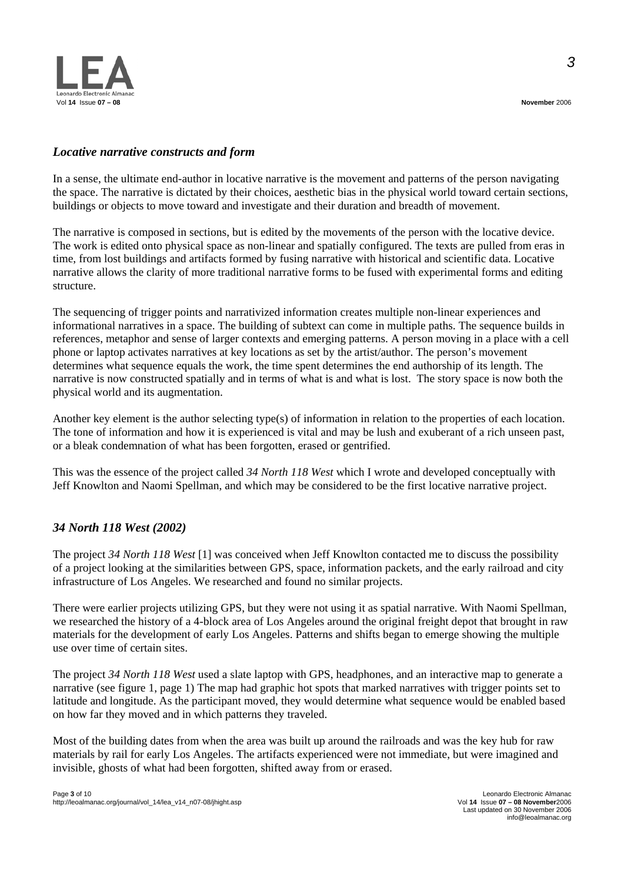

# *Locative narrative constructs and form*

In a sense, the ultimate end-author in locative narrative is the movement and patterns of the person navigating the space. The narrative is dictated by their choices, aesthetic bias in the physical world toward certain sections, buildings or objects to move toward and investigate and their duration and breadth of movement.

The narrative is composed in sections, but is edited by the movements of the person with the locative device. The work is edited onto physical space as non-linear and spatially configured. The texts are pulled from eras in time, from lost buildings and artifacts formed by fusing narrative with historical and scientific data. Locative narrative allows the clarity of more traditional narrative forms to be fused with experimental forms and editing structure.

The sequencing of trigger points and narrativized information creates multiple non-linear experiences and informational narratives in a space. The building of subtext can come in multiple paths. The sequence builds in references, metaphor and sense of larger contexts and emerging patterns. A person moving in a place with a cell phone or laptop activates narratives at key locations as set by the artist/author. The person's movement determines what sequence equals the work, the time spent determines the end authorship of its length. The narrative is now constructed spatially and in terms of what is and what is lost. The story space is now both the physical world and its augmentation.

Another key element is the author selecting type(s) of information in relation to the properties of each location. The tone of information and how it is experienced is vital and may be lush and exuberant of a rich unseen past, or a bleak condemnation of what has been forgotten, erased or gentrified.

This was the essence of the project called *34 North 118 West* which I wrote and developed conceptually with Jeff Knowlton and Naomi Spellman, and which may be considered to be the first locative narrative project.

# *34 North 118 West (2002)*

The project *34 North 118 West* [1] was conceived when Jeff Knowlton contacted me to discuss the possibility of a project looking at the similarities between GPS, space, information packets, and the early railroad and city infrastructure of Los Angeles. We researched and found no similar projects.

There were earlier projects utilizing GPS, but they were not using it as spatial narrative. With Naomi Spellman, we researched the history of a 4-block area of Los Angeles around the original freight depot that brought in raw materials for the development of early Los Angeles. Patterns and shifts began to emerge showing the multiple use over time of certain sites.

The project *34 North 118 West* used a slate laptop with GPS, headphones, and an interactive map to generate a narrative (see figure 1, page 1) The map had graphic hot spots that marked narratives with trigger points set to latitude and longitude. As the participant moved, they would determine what sequence would be enabled based on how far they moved and in which patterns they traveled.

Most of the building dates from when the area was built up around the railroads and was the key hub for raw materials by rail for early Los Angeles. The artifacts experienced were not immediate, but were imagined and invisible, ghosts of what had been forgotten, shifted away from or erased.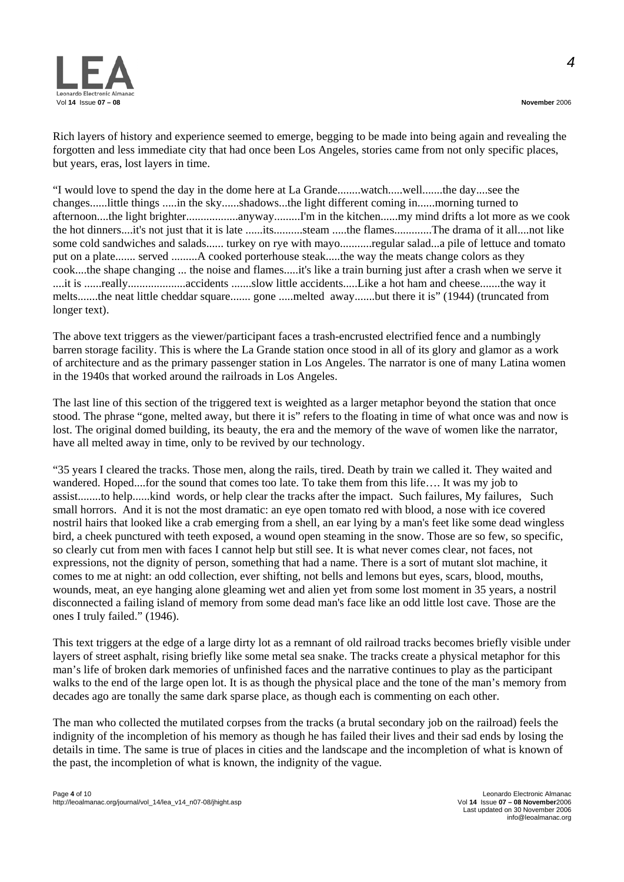

Rich layers of history and experience seemed to emerge, begging to be made into being again and revealing the forgotten and less immediate city that had once been Los Angeles, stories came from not only specific places, but years, eras, lost layers in time.

"I would love to spend the day in the dome here at La Grande........watch.....well.......the day....see the changes......little things .....in the sky......shadows...the light different coming in......morning turned to afternoon....the light brighter..................anyway.........I'm in the kitchen......my mind drifts a lot more as we cook the hot dinners....it's not just that it is late ......its..........steam .....the flames.............The drama of it all....not like some cold sandwiches and salads...... turkey on rye with mayo...........regular salad...a pile of lettuce and tomato put on a plate....... served .........A cooked porterhouse steak.....the way the meats change colors as they cook....the shape changing ... the noise and flames.....it's like a train burning just after a crash when we serve it ....it is ......really....................accidents .......slow little accidents.....Like a hot ham and cheese.......the way it melts.......the neat little cheddar square....... gone .....melted away.......but there it is" (1944) (truncated from longer text).

The above text triggers as the viewer/participant faces a trash-encrusted electrified fence and a numbingly barren storage facility. This is where the La Grande station once stood in all of its glory and glamor as a work of architecture and as the primary passenger station in Los Angeles. The narrator is one of many Latina women in the 1940s that worked around the railroads in Los Angeles.

The last line of this section of the triggered text is weighted as a larger metaphor beyond the station that once stood. The phrase "gone, melted away, but there it is" refers to the floating in time of what once was and now is lost. The original domed building, its beauty, the era and the memory of the wave of women like the narrator, have all melted away in time, only to be revived by our technology.

"35 years I cleared the tracks. Those men, along the rails, tired. Death by train we called it. They waited and wandered. Hoped....for the sound that comes too late. To take them from this life…. It was my job to assist........to help......kind words, or help clear the tracks after the impact. Such failures, My failures, Such small horrors. And it is not the most dramatic: an eye open tomato red with blood, a nose with ice covered nostril hairs that looked like a crab emerging from a shell, an ear lying by a man's feet like some dead wingless bird, a cheek punctured with teeth exposed, a wound open steaming in the snow. Those are so few, so specific, so clearly cut from men with faces I cannot help but still see. It is what never comes clear, not faces, not expressions, not the dignity of person, something that had a name. There is a sort of mutant slot machine, it comes to me at night: an odd collection, ever shifting, not bells and lemons but eyes, scars, blood, mouths, wounds, meat, an eye hanging alone gleaming wet and alien yet from some lost moment in 35 years, a nostril disconnected a failing island of memory from some dead man's face like an odd little lost cave. Those are the ones I truly failed." (1946).

This text triggers at the edge of a large dirty lot as a remnant of old railroad tracks becomes briefly visible under layers of street asphalt, rising briefly like some metal sea snake. The tracks create a physical metaphor for this man's life of broken dark memories of unfinished faces and the narrative continues to play as the participant walks to the end of the large open lot. It is as though the physical place and the tone of the man's memory from decades ago are tonally the same dark sparse place, as though each is commenting on each other.

The man who collected the mutilated corpses from the tracks (a brutal secondary job on the railroad) feels the indignity of the incompletion of his memory as though he has failed their lives and their sad ends by losing the details in time. The same is true of places in cities and the landscape and the incompletion of what is known of the past, the incompletion of what is known, the indignity of the vague.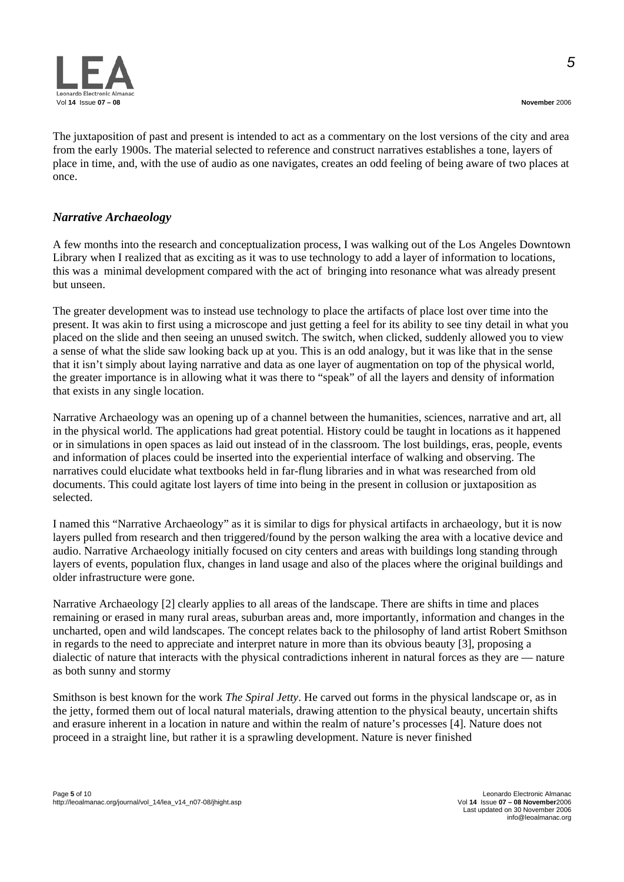



The juxtaposition of past and present is intended to act as a commentary on the lost versions of the city and area from the early 1900s. The material selected to reference and construct narratives establishes a tone, layers of place in time, and, with the use of audio as one navigates, creates an odd feeling of being aware of two places at once.

# *Narrative Archaeology*

A few months into the research and conceptualization process, I was walking out of the Los Angeles Downtown Library when I realized that as exciting as it was to use technology to add a layer of information to locations, this was a minimal development compared with the act of bringing into resonance what was already present but unseen.

The greater development was to instead use technology to place the artifacts of place lost over time into the present. It was akin to first using a microscope and just getting a feel for its ability to see tiny detail in what you placed on the slide and then seeing an unused switch. The switch, when clicked, suddenly allowed you to view a sense of what the slide saw looking back up at you. This is an odd analogy, but it was like that in the sense that it isn't simply about laying narrative and data as one layer of augmentation on top of the physical world, the greater importance is in allowing what it was there to "speak" of all the layers and density of information that exists in any single location.

Narrative Archaeology was an opening up of a channel between the humanities, sciences, narrative and art, all in the physical world. The applications had great potential. History could be taught in locations as it happened or in simulations in open spaces as laid out instead of in the classroom. The lost buildings, eras, people, events and information of places could be inserted into the experiential interface of walking and observing. The narratives could elucidate what textbooks held in far-flung libraries and in what was researched from old documents. This could agitate lost layers of time into being in the present in collusion or juxtaposition as selected.

I named this "Narrative Archaeology" as it is similar to digs for physical artifacts in archaeology, but it is now layers pulled from research and then triggered/found by the person walking the area with a locative device and audio. Narrative Archaeology initially focused on city centers and areas with buildings long standing through layers of events, population flux, changes in land usage and also of the places where the original buildings and older infrastructure were gone.

Narrative Archaeology [2] clearly applies to all areas of the landscape. There are shifts in time and places remaining or erased in many rural areas, suburban areas and, more importantly, information and changes in the uncharted, open and wild landscapes. The concept relates back to the philosophy of land artist Robert Smithson in regards to the need to appreciate and interpret nature in more than its obvious beauty [3], proposing a dialectic of nature that interacts with the physical contradictions inherent in natural forces as they are — nature as both sunny and stormy

Smithson is best known for the work *The Spiral Jetty*. He carved out forms in the physical landscape or, as in the jetty, formed them out of local natural materials, drawing attention to the physical beauty, uncertain shifts and erasure inherent in a location in nature and within the realm of nature's processes [4]. Nature does not proceed in a straight line, but rather it is a sprawling development. Nature is never finished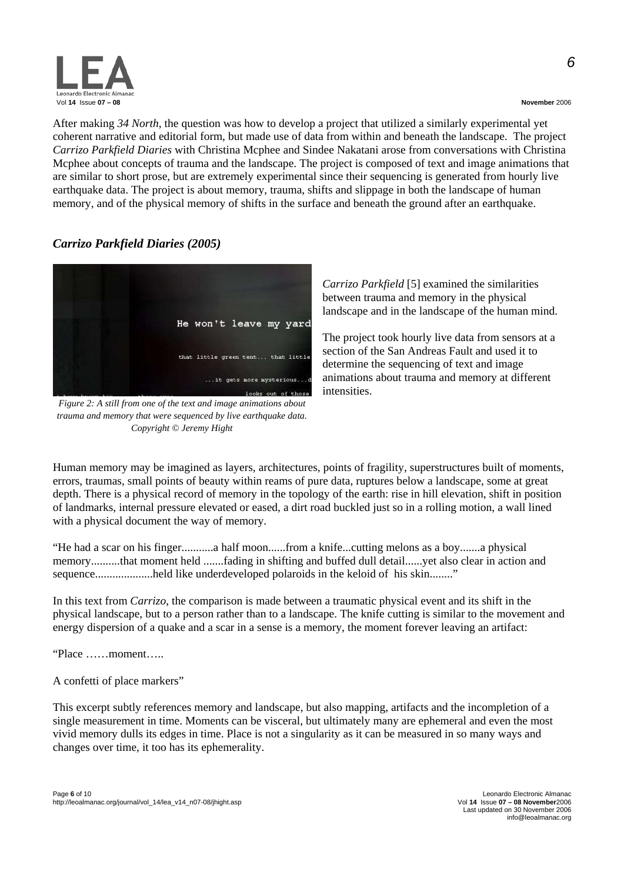

After making *34 North*, the question was how to develop a project that utilized a similarly experimental yet coherent narrative and editorial form, but made use of data from within and beneath the landscape. The project *Carrizo Parkfield Diaries* with Christina Mcphee and Sindee Nakatani arose from conversations with Christina Mcphee about concepts of trauma and the landscape. The project is composed of text and image animations that are similar to short prose, but are extremely experimental since their sequencing is generated from hourly live earthquake data. The project is about memory, trauma, shifts and slippage in both the landscape of human memory, and of the physical memory of shifts in the surface and beneath the ground after an earthquake.

# *Carrizo Parkfield Diaries (2005)*



*Figure 2: A still from one of the text and image animations about trauma and memory that were sequenced by live earthquake data. Copyright © Jeremy Hight* 

*Carrizo Parkfield* [5] examined the similarities between trauma and memory in the physical landscape and in the landscape of the human mind.

The project took hourly live data from sensors at a section of the San Andreas Fault and used it to determine the sequencing of text and image animations about trauma and memory at different intensities.

Human memory may be imagined as layers, architectures, points of fragility, superstructures built of moments, errors, traumas, small points of beauty within reams of pure data, ruptures below a landscape, some at great depth. There is a physical record of memory in the topology of the earth: rise in hill elevation, shift in position of landmarks, internal pressure elevated or eased, a dirt road buckled just so in a rolling motion, a wall lined with a physical document the way of memory.

"He had a scar on his finger...........a half moon......from a knife...cutting melons as a boy.......a physical memory..........that moment held .......fading in shifting and buffed dull detail......yet also clear in action and sequence....................held like underdeveloped polaroids in the keloid of his skin........"

In this text from *Carrizo*, the comparison is made between a traumatic physical event and its shift in the physical landscape, but to a person rather than to a landscape. The knife cutting is similar to the movement and energy dispersion of a quake and a scar in a sense is a memory, the moment forever leaving an artifact:

"Place ……moment…..

A confetti of place markers"

This excerpt subtly references memory and landscape, but also mapping, artifacts and the incompletion of a single measurement in time. Moments can be visceral, but ultimately many are ephemeral and even the most vivid memory dulls its edges in time. Place is not a singularity as it can be measured in so many ways and changes over time, it too has its ephemerality.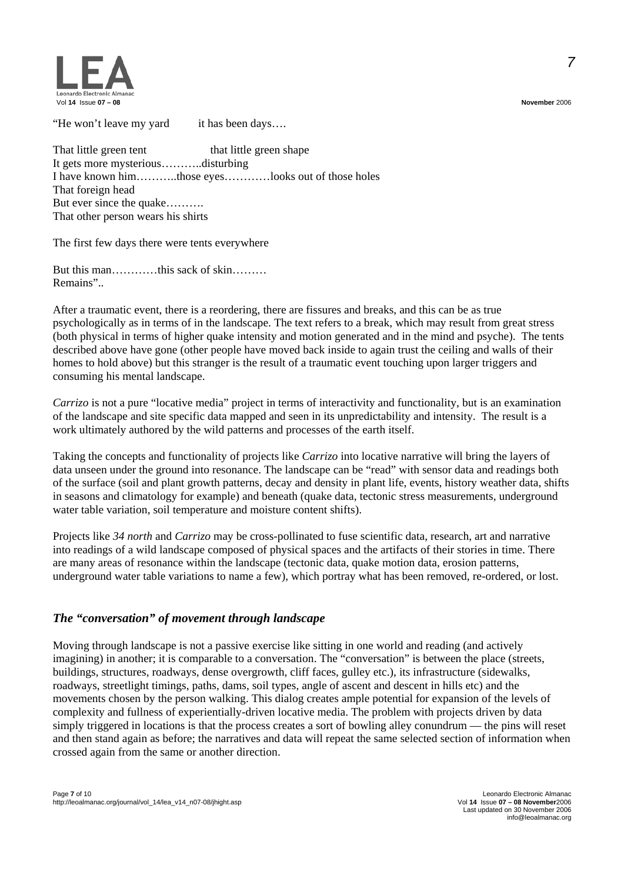

"He won't leave my yard it has been days…. That little green tent that little green shape It gets more mysterious………..disturbing I have known him………..those eyes…………looks out of those holes That foreign head But ever since the quake……….

That other person wears his shirts

The first few days there were tents everywhere

But this man…………this sack of skin……… Remains"..

After a traumatic event, there is a reordering, there are fissures and breaks, and this can be as true psychologically as in terms of in the landscape. The text refers to a break, which may result from great stress (both physical in terms of higher quake intensity and motion generated and in the mind and psyche). The tents described above have gone (other people have moved back inside to again trust the ceiling and walls of their homes to hold above) but this stranger is the result of a traumatic event touching upon larger triggers and consuming his mental landscape.

*Carrizo* is not a pure "locative media" project in terms of interactivity and functionality, but is an examination of the landscape and site specific data mapped and seen in its unpredictability and intensity. The result is a work ultimately authored by the wild patterns and processes of the earth itself.

Taking the concepts and functionality of projects like *Carrizo* into locative narrative will bring the layers of data unseen under the ground into resonance. The landscape can be "read" with sensor data and readings both of the surface (soil and plant growth patterns, decay and density in plant life, events, history weather data, shifts in seasons and climatology for example) and beneath (quake data, tectonic stress measurements, underground water table variation, soil temperature and moisture content shifts).

Projects like *34 north* and *Carrizo* may be cross-pollinated to fuse scientific data, research, art and narrative into readings of a wild landscape composed of physical spaces and the artifacts of their stories in time. There are many areas of resonance within the landscape (tectonic data, quake motion data, erosion patterns, underground water table variations to name a few), which portray what has been removed, re-ordered, or lost.

# *The "conversation" of movement through landscape*

Moving through landscape is not a passive exercise like sitting in one world and reading (and actively imagining) in another; it is comparable to a conversation. The "conversation" is between the place (streets, buildings, structures, roadways, dense overgrowth, cliff faces, gulley etc.), its infrastructure (sidewalks, roadways, streetlight timings, paths, dams, soil types, angle of ascent and descent in hills etc) and the movements chosen by the person walking. This dialog creates ample potential for expansion of the levels of complexity and fullness of experientially-driven locative media. The problem with projects driven by data simply triggered in locations is that the process creates a sort of bowling alley conundrum — the pins will reset and then stand again as before; the narratives and data will repeat the same selected section of information when crossed again from the same or another direction.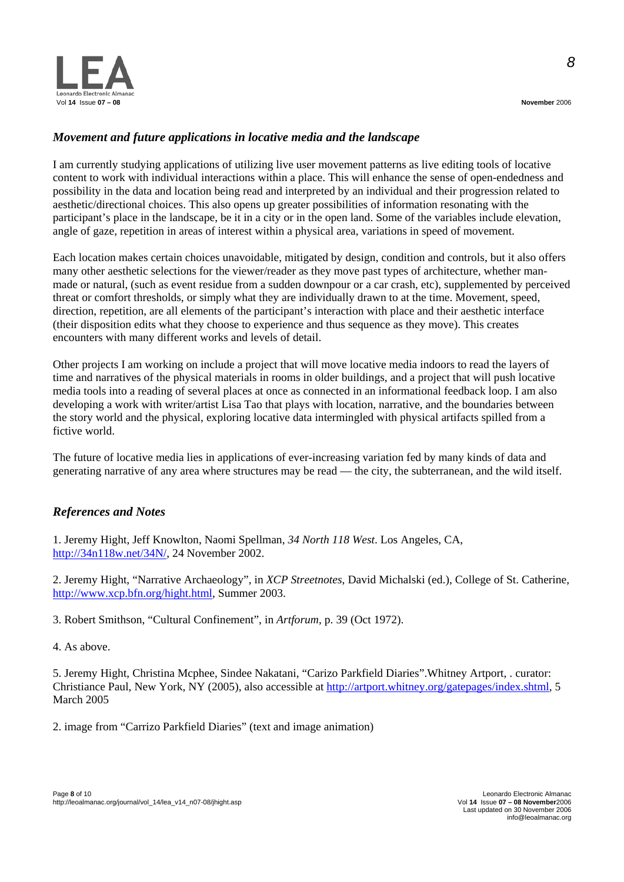

# *Movement and future applications in locative media and the landscape*

I am currently studying applications of utilizing live user movement patterns as live editing tools of locative content to work with individual interactions within a place. This will enhance the sense of open-endedness and possibility in the data and location being read and interpreted by an individual and their progression related to aesthetic/directional choices. This also opens up greater possibilities of information resonating with the participant's place in the landscape, be it in a city or in the open land. Some of the variables include elevation, angle of gaze, repetition in areas of interest within a physical area, variations in speed of movement.

Each location makes certain choices unavoidable, mitigated by design, condition and controls, but it also offers many other aesthetic selections for the viewer/reader as they move past types of architecture, whether manmade or natural, (such as event residue from a sudden downpour or a car crash, etc), supplemented by perceived threat or comfort thresholds, or simply what they are individually drawn to at the time. Movement, speed, direction, repetition, are all elements of the participant's interaction with place and their aesthetic interface (their disposition edits what they choose to experience and thus sequence as they move). This creates encounters with many different works and levels of detail.

Other projects I am working on include a project that will move locative media indoors to read the layers of time and narratives of the physical materials in rooms in older buildings, and a project that will push locative media tools into a reading of several places at once as connected in an informational feedback loop. I am also developing a work with writer/artist Lisa Tao that plays with location, narrative, and the boundaries between the story world and the physical, exploring locative data intermingled with physical artifacts spilled from a fictive world.

The future of locative media lies in applications of ever-increasing variation fed by many kinds of data and generating narrative of any area where structures may be read — the city, the subterranean, and the wild itself.

# *References and Notes*

1. Jeremy Hight, Jeff Knowlton, Naomi Spellman, *34 North 118 West*. Los Angeles, CA, <http://34n118w.net/34N/>, 24 November 2002.

2. Jeremy Hight, "Narrative Archaeology", in *XCP Streetnotes*, David Michalski (ed.), College of St. Catherine, [http://www.xcp.bfn.org/hight.html,](http://www.xcp.bfn.org/hight.html) Summer 2003.

3. Robert Smithson, "Cultural Confinement", in *Artforum*, p. 39 (Oct 1972).

4. As above.

5. Jeremy Hight, Christina Mcphee, Sindee Nakatani, "Carizo Parkfield Diaries".Whitney Artport, . curator: Christiance Paul, New York, NY (2005), also accessible at <http://artport.whitney.org/gatepages/index.shtml>, 5 March 2005

2. image from "Carrizo Parkfield Diaries" (text and image animation)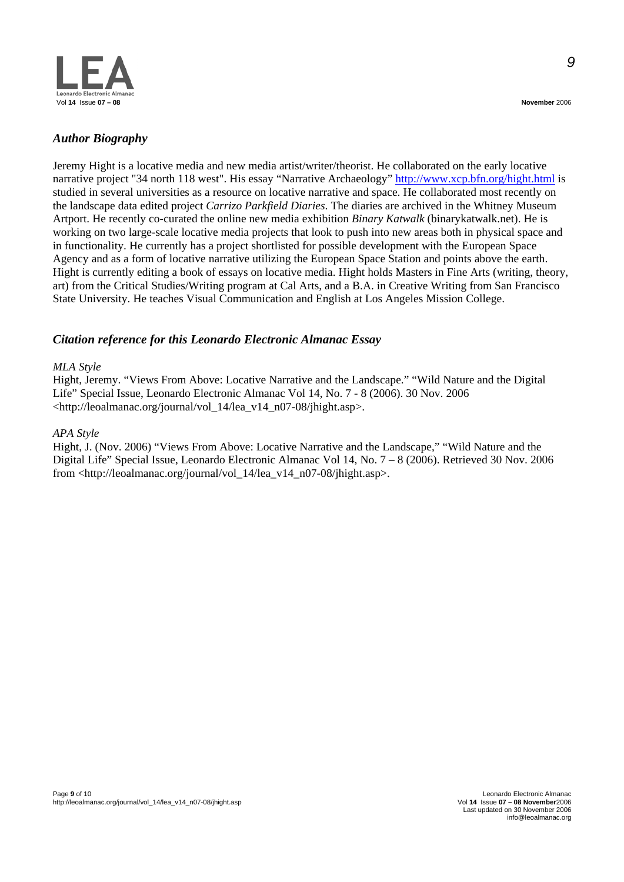

Jeremy Hight is a locative media and new media artist/writer/theorist. He collaborated on the early locative narrative project "34 north 118 west". His essay "Narrative Archaeology"<http://www.xcp.bfn.org/hight.html>is studied in several universities as a resource on locative narrative and space. He collaborated most recently on the landscape data edited project *Carrizo Parkfield Diaries*. The diaries are archived in the Whitney Museum Artport. He recently co-curated the online new media exhibition *Binary Katwalk* (binarykatwalk.net). He is working on two large-scale locative media projects that look to push into new areas both in physical space and in functionality. He currently has a project shortlisted for possible development with the European Space Agency and as a form of locative narrative utilizing the European Space Station and points above the earth. Hight is currently editing a book of essays on locative media. Hight holds Masters in Fine Arts (writing, theory, art) from the Critical Studies/Writing program at Cal Arts, and a B.A. in Creative Writing from San Francisco State University. He teaches Visual Communication and English at Los Angeles Mission College.

# *Citation reference for this Leonardo Electronic Almanac Essay*

#### *MLA Style*

Hight, Jeremy. "Views From Above: Locative Narrative and the Landscape." "Wild Nature and the Digital Life" Special Issue, Leonardo Electronic Almanac Vol 14, No. 7 - 8 (2006). 30 Nov. 2006 <http://leoalmanac.org/journal/vol\_14/lea\_v14\_n07-08/jhight.asp>.

#### *APA Style*

Hight, J. (Nov. 2006) "Views From Above: Locative Narrative and the Landscape," "Wild Nature and the Digital Life" Special Issue, Leonardo Electronic Almanac Vol 14, No. 7 – 8 (2006). Retrieved 30 Nov. 2006 from <http://leoalmanac.org/journal/vol\_14/lea\_v14\_n07-08/jhight.asp>.